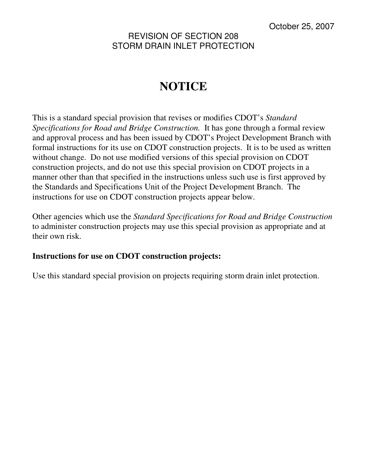## REVISION OF SECTION 208 STORM DRAIN INLET PROTECTION

# **NOTICE**

This is a standard special provision that revises or modifies CDOT's *Standard Specifications for Road and Bridge Construction.* It has gone through a formal review and approval process and has been issued by CDOT's Project Development Branch with formal instructions for its use on CDOT construction projects. It is to be used as written without change. Do not use modified versions of this special provision on CDOT construction projects, and do not use this special provision on CDOT projects in a manner other than that specified in the instructions unless such use is first approved by the Standards and Specifications Unit of the Project Development Branch. The instructions for use on CDOT construction projects appear below.

Other agencies which use the *Standard Specifications for Road and Bridge Construction* to administer construction projects may use this special provision as appropriate and at their own risk.

### **Instructions for use on CDOT construction projects:**

Use this standard special provision on projects requiring storm drain inlet protection.